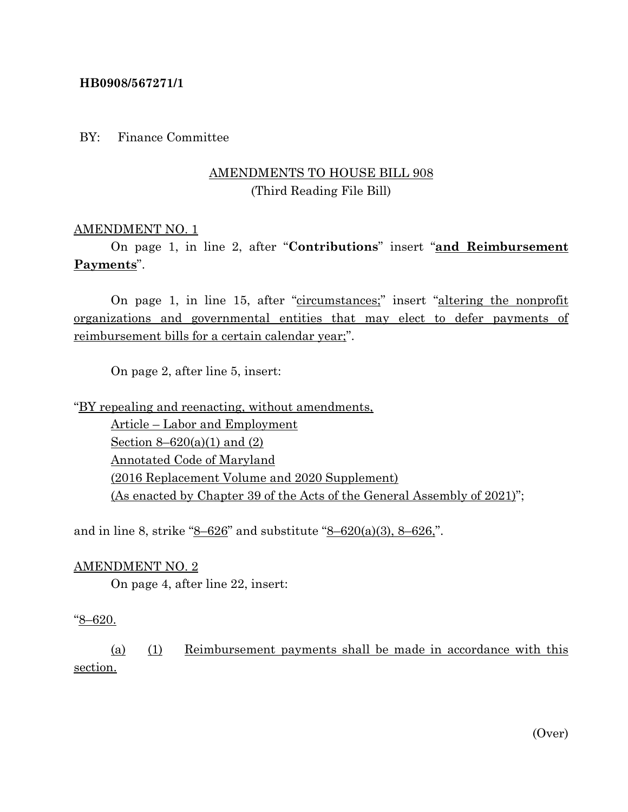#### **HB0908/567271/1**

BY: Finance Committee

# AMENDMENTS TO HOUSE BILL 908 (Third Reading File Bill)

### AMENDMENT NO. 1

On page 1, in line 2, after "**Contributions**" insert "**and Reimbursement Payments**".

On page 1, in line 15, after "circumstances;" insert "altering the nonprofit organizations and governmental entities that may elect to defer payments of reimbursement bills for a certain calendar year;".

On page 2, after line 5, insert:

"BY repealing and reenacting, without amendments, Article – Labor and Employment Section  $8 - 620(a)(1)$  and  $(2)$ Annotated Code of Maryland (2016 Replacement Volume and 2020 Supplement) (As enacted by Chapter 39 of the Acts of the General Assembly of 2021)";

and in line 8, strike " $8-626$ " and substitute " $8-620(a)(3)$ ,  $8-626$ ".

#### AMENDMENT NO. 2

On page 4, after line 22, insert:

#### "8–620.

(a) (1) Reimbursement payments shall be made in accordance with this section.

(Over)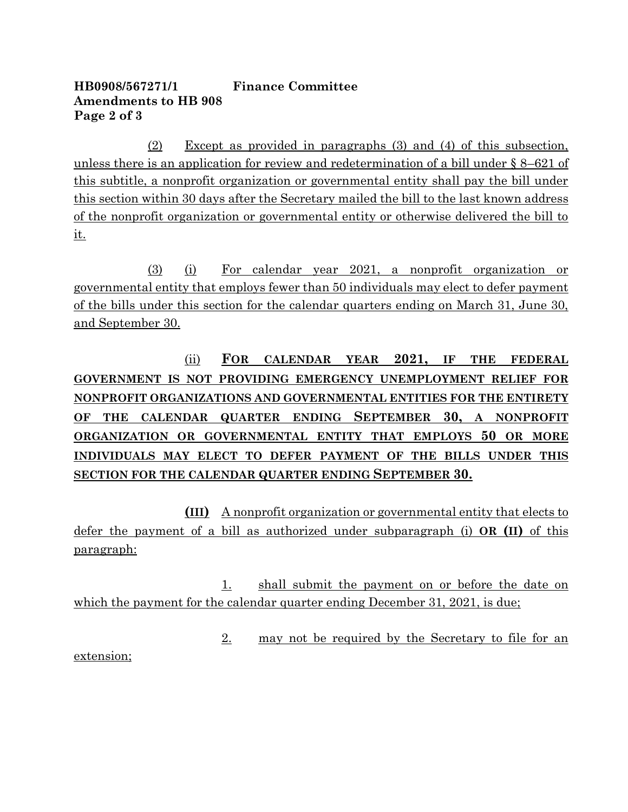# **HB0908/567271/1 Finance Committee Amendments to HB 908 Page 2 of 3**

(2) Except as provided in paragraphs (3) and (4) of this subsection, unless there is an application for review and redetermination of a bill under § 8–621 of this subtitle, a nonprofit organization or governmental entity shall pay the bill under this section within 30 days after the Secretary mailed the bill to the last known address of the nonprofit organization or governmental entity or otherwise delivered the bill to it.

(3) (i) For calendar year 2021, a nonprofit organization or governmental entity that employs fewer than 50 individuals may elect to defer payment of the bills under this section for the calendar quarters ending on March 31, June 30, and September 30.

(ii) **FOR CALENDAR YEAR 2021, IF THE FEDERAL GOVERNMENT IS NOT PROVIDING EMERGENCY UNEMPLOYMENT RELIEF FOR NONPROFIT ORGANIZATIONS AND GOVERNMENTAL ENTITIES FOR THE ENTIRETY OF THE CALENDAR QUARTER ENDING SEPTEMBER 30, A NONPROFIT ORGANIZATION OR GOVERNMENTAL ENTITY THAT EMPLOYS 50 OR MORE INDIVIDUALS MAY ELECT TO DEFER PAYMENT OF THE BILLS UNDER THIS SECTION FOR THE CALENDAR QUARTER ENDING SEPTEMBER 30.**

**(III)** A nonprofit organization or governmental entity that elects to defer the payment of a bill as authorized under subparagraph (i) **OR (II)** of this paragraph:

1. shall submit the payment on or before the date on which the payment for the calendar quarter ending December 31, 2021, is due;

2. may not be required by the Secretary to file for an

extension;